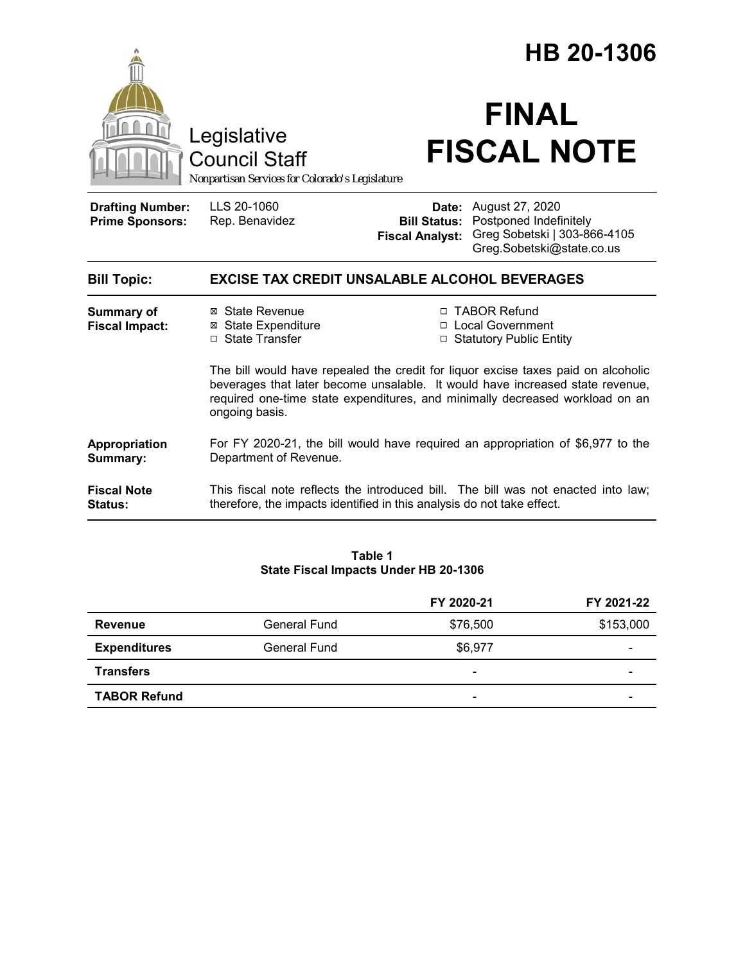|                                                   |                                                                                                                                                                                                                                                                      | HB 20-1306             |                                                                                                                                         |  |  |
|---------------------------------------------------|----------------------------------------------------------------------------------------------------------------------------------------------------------------------------------------------------------------------------------------------------------------------|------------------------|-----------------------------------------------------------------------------------------------------------------------------------------|--|--|
|                                                   | Legislative<br><b>Council Staff</b><br>Nonpartisan Services for Colorado's Legislature                                                                                                                                                                               |                        | <b>FINAL</b><br><b>FISCAL NOTE</b>                                                                                                      |  |  |
| <b>Drafting Number:</b><br><b>Prime Sponsors:</b> | LLS 20-1060<br>Rep. Benavidez                                                                                                                                                                                                                                        | <b>Fiscal Analyst:</b> | <b>Date:</b> August 27, 2020<br><b>Bill Status: Postponed Indefinitely</b><br>Greg Sobetski   303-866-4105<br>Greg.Sobetski@state.co.us |  |  |
| <b>Bill Topic:</b>                                | <b>EXCISE TAX CREDIT UNSALABLE ALCOHOL BEVERAGES</b>                                                                                                                                                                                                                 |                        |                                                                                                                                         |  |  |
| Summary of<br><b>Fiscal Impact:</b>               | ⊠ State Revenue<br>⊠ State Expenditure<br>□ State Transfer                                                                                                                                                                                                           |                        | □ TABOR Refund<br>□ Local Government<br>□ Statutory Public Entity                                                                       |  |  |
|                                                   | The bill would have repealed the credit for liquor excise taxes paid on alcoholic<br>beverages that later become unsalable. It would have increased state revenue,<br>required one-time state expenditures, and minimally decreased workload on an<br>ongoing basis. |                        |                                                                                                                                         |  |  |
| Appropriation<br>Summary:                         | For FY 2020-21, the bill would have required an appropriation of \$6,977 to the<br>Department of Revenue.                                                                                                                                                            |                        |                                                                                                                                         |  |  |
| <b>Fiscal Note</b><br>Status:                     | therefore, the impacts identified in this analysis do not take effect.                                                                                                                                                                                               |                        | This fiscal note reflects the introduced bill. The bill was not enacted into law;                                                       |  |  |

### **Table 1 State Fiscal Impacts Under HB 20-1306**

|                     |              | FY 2020-21               | FY 2021-22 |
|---------------------|--------------|--------------------------|------------|
| Revenue             | General Fund | \$76,500                 | \$153,000  |
| <b>Expenditures</b> | General Fund | \$6,977                  | -          |
| <b>Transfers</b>    |              | $\overline{\phantom{0}}$ | -          |
| <b>TABOR Refund</b> |              | $\overline{\phantom{a}}$ | -          |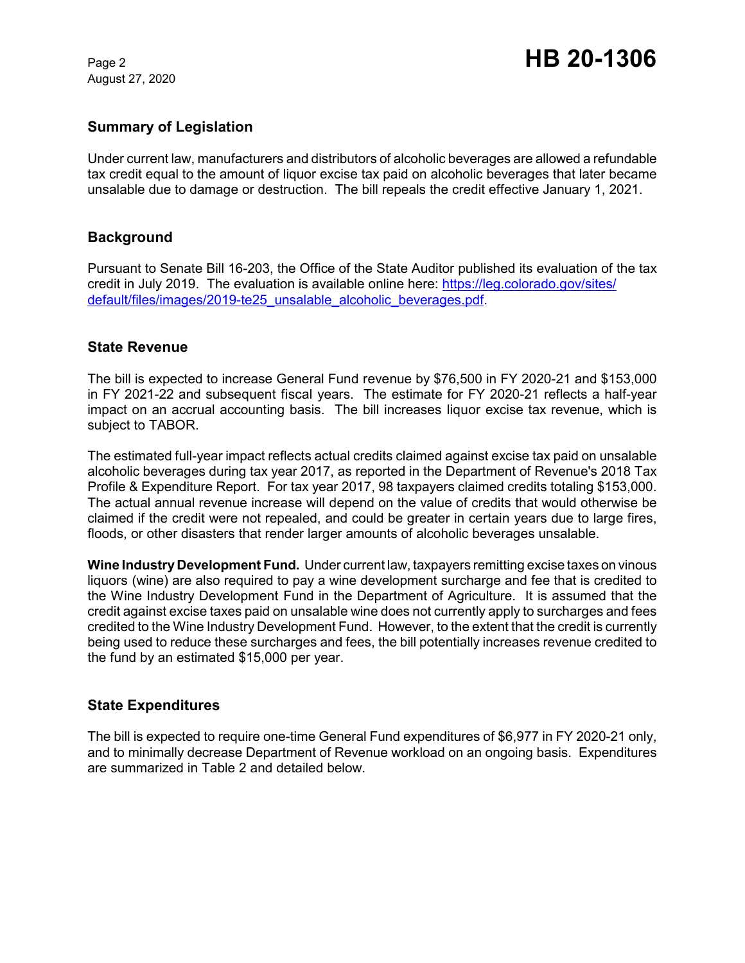August 27, 2020

### **Summary of Legislation**

Under current law, manufacturers and distributors of alcoholic beverages are allowed a refundable tax credit equal to the amount of liquor excise tax paid on alcoholic beverages that later became unsalable due to damage or destruction. The bill repeals the credit effective January 1, 2021.

### **Background**

Pursuant to Senate Bill 16-203, the Office of the State Auditor published its evaluation of the tax credit in July 2019. The evaluation is available online here: https://leg.colorado.gov/sites/ default/files/images/2019-te25\_unsalable\_alcoholic\_beverages.pdf.

#### **State Revenue**

The bill is expected to increase General Fund revenue by \$76,500 in FY 2020-21 and \$153,000 in FY 2021-22 and subsequent fiscal years. The estimate for FY 2020-21 reflects a half-year impact on an accrual accounting basis. The bill increases liquor excise tax revenue, which is subject to TABOR.

The estimated full-year impact reflects actual credits claimed against excise tax paid on unsalable alcoholic beverages during tax year 2017, as reported in the Department of Revenue's 2018 Tax Profile & Expenditure Report. For tax year 2017, 98 taxpayers claimed credits totaling \$153,000. The actual annual revenue increase will depend on the value of credits that would otherwise be claimed if the credit were not repealed, and could be greater in certain years due to large fires, floods, or other disasters that render larger amounts of alcoholic beverages unsalable.

**Wine Industry Development Fund.** Under current law, taxpayers remitting excise taxes on vinous liquors (wine) are also required to pay a wine development surcharge and fee that is credited to the Wine Industry Development Fund in the Department of Agriculture. It is assumed that the credit against excise taxes paid on unsalable wine does not currently apply to surcharges and fees credited to the Wine Industry Development Fund. However, to the extent that the credit is currently being used to reduce these surcharges and fees, the bill potentially increases revenue credited to the fund by an estimated \$15,000 per year.

### **State Expenditures**

The bill is expected to require one-time General Fund expenditures of \$6,977 in FY 2020-21 only, and to minimally decrease Department of Revenue workload on an ongoing basis. Expenditures are summarized in Table 2 and detailed below.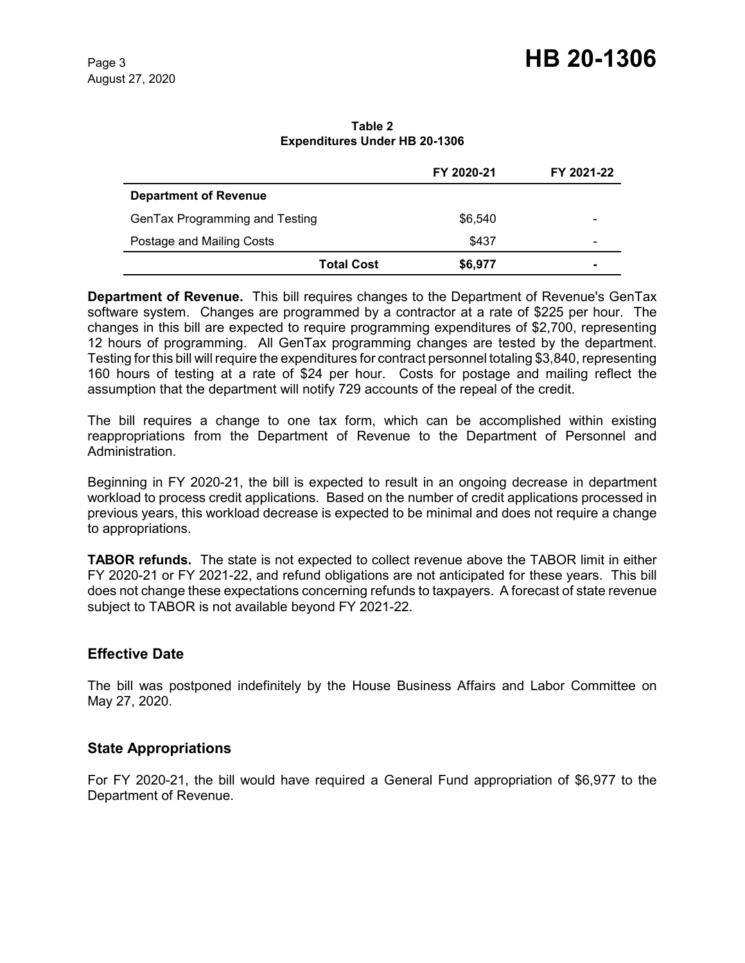# Page 3 **HB 20-1306**

**Table 2 Expenditures Under HB 20-1306**

|                                |                   | FY 2020-21 | FY 2021-22               |
|--------------------------------|-------------------|------------|--------------------------|
| <b>Department of Revenue</b>   |                   |            |                          |
| GenTax Programming and Testing |                   | \$6,540    | $\overline{\phantom{0}}$ |
| Postage and Mailing Costs      |                   | \$437      | $\overline{\phantom{0}}$ |
|                                | <b>Total Cost</b> | \$6,977    | $\blacksquare$           |

**Department of Revenue.** This bill requires changes to the Department of Revenue's GenTax software system. Changes are programmed by a contractor at a rate of \$225 per hour. The changes in this bill are expected to require programming expenditures of \$2,700, representing 12 hours of programming. All GenTax programming changes are tested by the department. Testing for this bill will require the expenditures for contract personnel totaling \$3,840, representing 160 hours of testing at a rate of \$24 per hour. Costs for postage and mailing reflect the assumption that the department will notify 729 accounts of the repeal of the credit.

The bill requires a change to one tax form, which can be accomplished within existing reappropriations from the Department of Revenue to the Department of Personnel and Administration.

Beginning in FY 2020-21, the bill is expected to result in an ongoing decrease in department workload to process credit applications. Based on the number of credit applications processed in previous years, this workload decrease is expected to be minimal and does not require a change to appropriations.

**TABOR refunds.** The state is not expected to collect revenue above the TABOR limit in either FY 2020-21 or FY 2021-22, and refund obligations are not anticipated for these years. This bill does not change these expectations concerning refunds to taxpayers. A forecast of state revenue subject to TABOR is not available beyond FY 2021-22.

### **Effective Date**

The bill was postponed indefinitely by the House Business Affairs and Labor Committee on May 27, 2020.

## **State Appropriations**

For FY 2020-21, the bill would have required a General Fund appropriation of \$6,977 to the Department of Revenue.